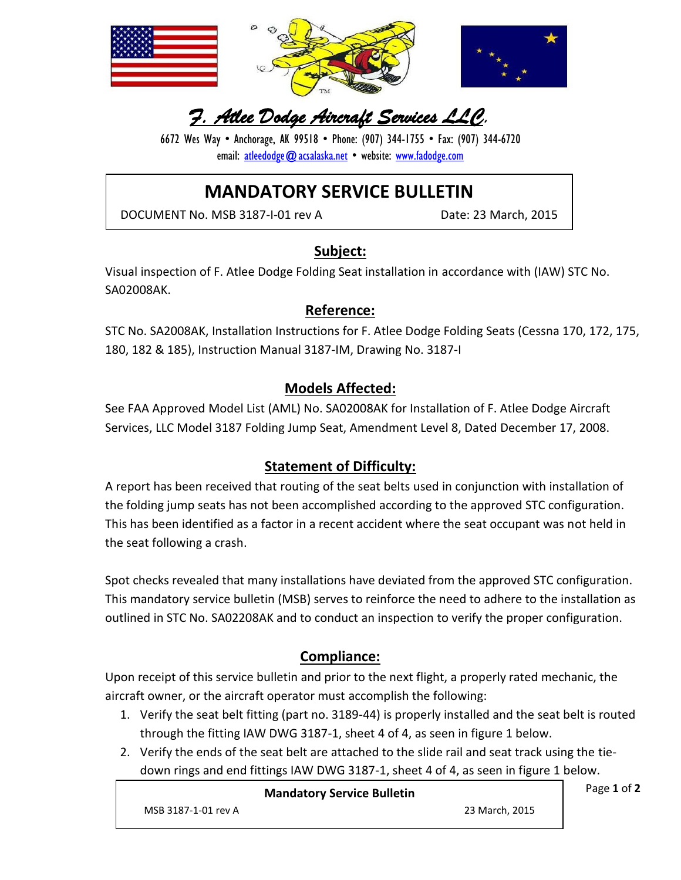

# *F. Atlee Dodge Aircraft Services LLC.*

6672 Wes Way • Anchorage, AK 99518 • Phone: (907) 344-1755 • Fax: (907) 344-6720 email: [atleedodge@acsalaska.net](mailto:atleedodge@acsalaska.net) • website: [www.fadodge.com](http://www.fadodge.com/)

# **MANDATORY SERVICE BULLETIN**

DOCUMENT No. MSB 3187-I-01 rev A Date: 23 March, 2015

## **Subject:**

Visual inspection of F. Atlee Dodge Folding Seat installation in accordance with (IAW) STC No. SA02008AK.

## **Reference:**

STC No. SA2008AK, Installation Instructions for F. Atlee Dodge Folding Seats (Cessna 170, 172, 175, 180, 182 & 185), Instruction Manual 3187-IM, Drawing No. 3187-I

## **Models Affected:**

See FAA Approved Model List (AML) No. SA02008AK for Installation of F. Atlee Dodge Aircraft Services, LLC Model 3187 Folding Jump Seat, Amendment Level 8, Dated December 17, 2008.

## **Statement of Difficulty:**

A report has been received that routing of the seat belts used in conjunction with installation of the folding jump seats has not been accomplished according to the approved STC configuration. This has been identified as a factor in a recent accident where the seat occupant was not held in the seat following a crash.

Spot checks revealed that many installations have deviated from the approved STC configuration. This mandatory service bulletin (MSB) serves to reinforce the need to adhere to the installation as outlined in STC No. SA02208AK and to conduct an inspection to verify the proper configuration.

# **Compliance:**

Upon receipt of this service bulletin and prior to the next flight, a properly rated mechanic, the aircraft owner, or the aircraft operator must accomplish the following:

- 1. Verify the seat belt fitting (part no. 3189-44) is properly installed and the seat belt is routed through the fitting IAW DWG 3187-1, sheet 4 of 4, as seen in figure 1 below.
- 2. Verify the ends of the seat belt are attached to the slide rail and seat track using the tiedown rings and end fittings IAW DWG 3187-1, sheet 4 of 4, as seen in figure 1 below.

|                     | <b>Mandatory Service Bulletin</b> |                | Page 1 of 2 |
|---------------------|-----------------------------------|----------------|-------------|
| MSB 3187-1-01 rev A |                                   | 23 March, 2015 |             |